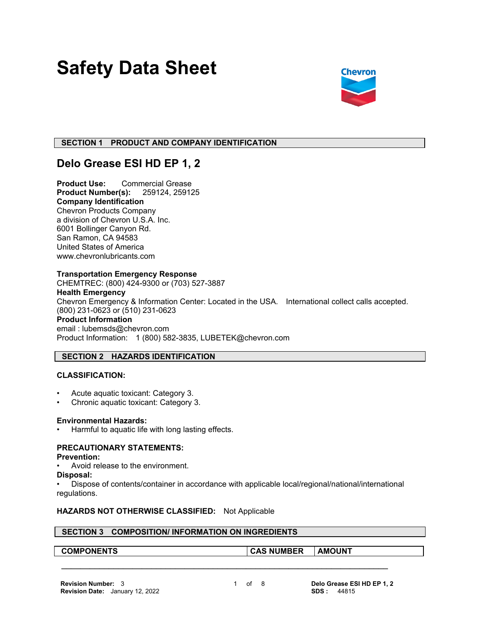# **Safety Data Sheet**



#### **SECTION 1 PRODUCT AND COMPANY IDENTIFICATION**

## **Delo Grease ESI HD EP 1, 2**

**Product Use:** Commercial Grease **Product Number(s):** 259124, 259125 **Company Identification** Chevron Products Company a division of Chevron U.S.A. Inc. 6001 Bollinger Canyon Rd. San Ramon, CA 94583 United States of America www.chevronlubricants.com

#### **Transportation Emergency Response**

CHEMTREC: (800) 424-9300 or (703) 527-3887 **Health Emergency** Chevron Emergency & Information Center: Located in the USA. International collect calls accepted. (800) 231-0623 or (510) 231-0623 **Product Information** email : lubemsds@chevron.com Product Information: 1 (800) 582-3835, LUBETEK@chevron.com

### **SECTION 2 HAZARDS IDENTIFICATION**

#### **CLASSIFICATION:**

- Acute aquatic toxicant: Category 3.
- Chronic aquatic toxicant: Category 3.

#### **Environmental Hazards:**

Harmful to aquatic life with long lasting effects.

### **PRECAUTIONARY STATEMENTS:**

#### **Prevention:**

- Avoid release to the environment.
- **Disposal:**

• Dispose of contents/container in accordance with applicable local/regional/national/international regulations.

 **\_\_\_\_\_\_\_\_\_\_\_\_\_\_\_\_\_\_\_\_\_\_\_\_\_\_\_\_\_\_\_\_\_\_\_\_\_\_\_\_\_\_\_\_\_\_\_\_\_\_\_\_\_\_\_\_\_\_\_\_\_\_\_\_\_\_\_\_\_**

#### **HAZARDS NOT OTHERWISE CLASSIFIED:** Not Applicable

#### **SECTION 3 COMPOSITION/ INFORMATION ON INGREDIENTS**

**COMPONENTS CAS NUMBER AMOUNT**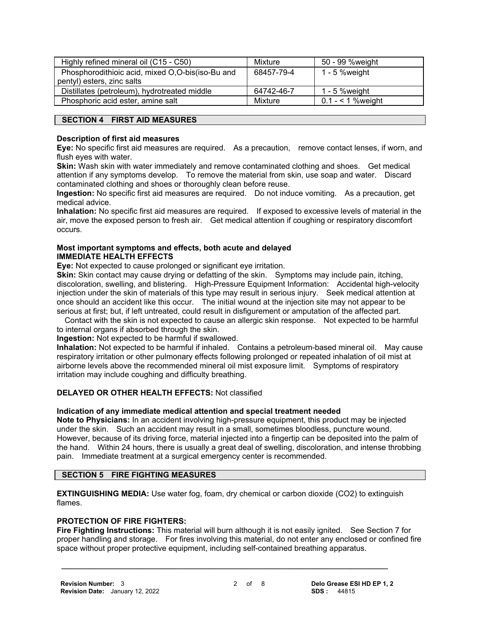| Highly refined mineral oil (C15 - C50)           | Mixture    | 50 - 99 %weight    |
|--------------------------------------------------|------------|--------------------|
| Phosphorodithioic acid, mixed O,O-bis(iso-Bu and | 68457-79-4 | $1 - 5$ % weight   |
| pentyl) esters, zinc salts                       |            |                    |
| Distillates (petroleum), hydrotreated middle     | 64742-46-7 | 1 - 5 % weight     |
| Phosphoric acid ester, amine salt                | Mixture    | $0.1 - 1$ % weight |

#### **SECTION 4 FIRST AID MEASURES**

#### **Description of first aid measures**

**Eye:** No specific first aid measures are required. As a precaution, remove contact lenses, if worn, and flush eyes with water.

**Skin:** Wash skin with water immediately and remove contaminated clothing and shoes. Get medical attention if any symptoms develop. To remove the material from skin, use soap and water. Discard contaminated clothing and shoes or thoroughly clean before reuse.

**Ingestion:** No specific first aid measures are required. Do not induce vomiting. As a precaution, get medical advice.

**Inhalation:** No specific first aid measures are required. If exposed to excessive levels of material in the air, move the exposed person to fresh air. Get medical attention if coughing or respiratory discomfort occurs.

#### **Most important symptoms and effects, both acute and delayed IMMEDIATE HEALTH EFFECTS**

**Eye:** Not expected to cause prolonged or significant eye irritation.

**Skin:** Skin contact may cause drying or defatting of the skin. Symptoms may include pain, itching, discoloration, swelling, and blistering. High-Pressure Equipment Information: Accidental high-velocity injection under the skin of materials of this type may result in serious injury. Seek medical attention at once should an accident like this occur. The initial wound at the injection site may not appear to be serious at first; but, if left untreated, could result in disfigurement or amputation of the affected part.

 Contact with the skin is not expected to cause an allergic skin response. Not expected to be harmful to internal organs if absorbed through the skin.

**Ingestion:** Not expected to be harmful if swallowed.

**Inhalation:** Not expected to be harmful if inhaled. Contains a petroleum-based mineral oil. May cause respiratory irritation or other pulmonary effects following prolonged or repeated inhalation of oil mist at airborne levels above the recommended mineral oil mist exposure limit. Symptoms of respiratory irritation may include coughing and difficulty breathing.

#### **DELAYED OR OTHER HEALTH EFFECTS:** Not classified

#### **Indication of any immediate medical attention and special treatment needed**

**Note to Physicians:** In an accident involving high-pressure equipment, this product may be injected under the skin. Such an accident may result in a small, sometimes bloodless, puncture wound. However, because of its driving force, material injected into a fingertip can be deposited into the palm of the hand. Within 24 hours, there is usually a great deal of swelling, discoloration, and intense throbbing pain. Immediate treatment at a surgical emergency center is recommended.

#### **SECTION 5 FIRE FIGHTING MEASURES**

**EXTINGUISHING MEDIA:** Use water fog, foam, dry chemical or carbon dioxide (CO2) to extinguish flames.

 **\_\_\_\_\_\_\_\_\_\_\_\_\_\_\_\_\_\_\_\_\_\_\_\_\_\_\_\_\_\_\_\_\_\_\_\_\_\_\_\_\_\_\_\_\_\_\_\_\_\_\_\_\_\_\_\_\_\_\_\_\_\_\_\_\_\_\_\_\_**

#### **PROTECTION OF FIRE FIGHTERS:**

**Fire Fighting Instructions:** This material will burn although it is not easily ignited. See Section 7 for proper handling and storage. For fires involving this material, do not enter any enclosed or confined fire space without proper protective equipment, including self-contained breathing apparatus.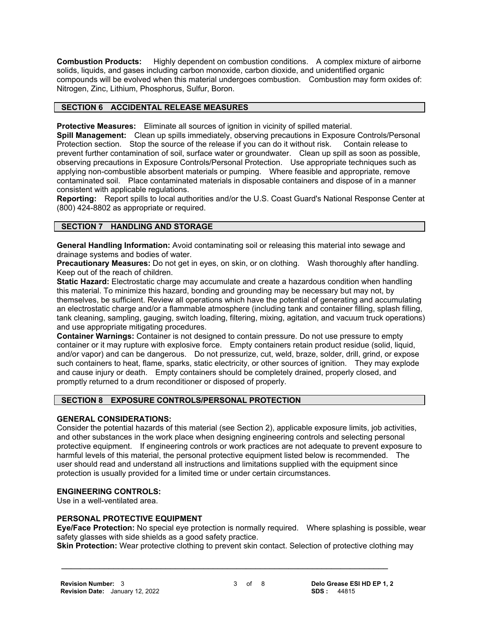**Combustion Products:** Highly dependent on combustion conditions. A complex mixture of airborne solids, liquids, and gases including carbon monoxide, carbon dioxide, and unidentified organic compounds will be evolved when this material undergoes combustion. Combustion may form oxides of: Nitrogen, Zinc, Lithium, Phosphorus, Sulfur, Boron.

#### **SECTION 6 ACCIDENTAL RELEASE MEASURES**

**Protective Measures:** Eliminate all sources of ignition in vicinity of spilled material.

**Spill Management:** Clean up spills immediately, observing precautions in Exposure Controls/Personal Protection section. Stop the source of the release if you can do it without risk. Contain release to prevent further contamination of soil, surface water or groundwater. Clean up spill as soon as possible, observing precautions in Exposure Controls/Personal Protection. Use appropriate techniques such as applying non-combustible absorbent materials or pumping. Where feasible and appropriate, remove contaminated soil. Place contaminated materials in disposable containers and dispose of in a manner consistent with applicable regulations.

**Reporting:** Report spills to local authorities and/or the U.S. Coast Guard's National Response Center at (800) 424-8802 as appropriate or required.

#### **SECTION 7 HANDLING AND STORAGE**

**General Handling Information:** Avoid contaminating soil or releasing this material into sewage and drainage systems and bodies of water.

**Precautionary Measures:** Do not get in eyes, on skin, or on clothing. Wash thoroughly after handling. Keep out of the reach of children.

**Static Hazard:** Electrostatic charge may accumulate and create a hazardous condition when handling this material. To minimize this hazard, bonding and grounding may be necessary but may not, by themselves, be sufficient. Review all operations which have the potential of generating and accumulating an electrostatic charge and/or a flammable atmosphere (including tank and container filling, splash filling, tank cleaning, sampling, gauging, switch loading, filtering, mixing, agitation, and vacuum truck operations) and use appropriate mitigating procedures.

**Container Warnings:** Container is not designed to contain pressure. Do not use pressure to empty container or it may rupture with explosive force. Empty containers retain product residue (solid, liquid, and/or vapor) and can be dangerous. Do not pressurize, cut, weld, braze, solder, drill, grind, or expose such containers to heat, flame, sparks, static electricity, or other sources of ignition. They may explode and cause injury or death. Empty containers should be completely drained, properly closed, and promptly returned to a drum reconditioner or disposed of properly.

#### **SECTION 8 EXPOSURE CONTROLS/PERSONAL PROTECTION**

#### **GENERAL CONSIDERATIONS:**

Consider the potential hazards of this material (see Section 2), applicable exposure limits, job activities, and other substances in the work place when designing engineering controls and selecting personal protective equipment. If engineering controls or work practices are not adequate to prevent exposure to harmful levels of this material, the personal protective equipment listed below is recommended. The user should read and understand all instructions and limitations supplied with the equipment since protection is usually provided for a limited time or under certain circumstances.

#### **ENGINEERING CONTROLS:**

Use in a well-ventilated area.

#### **PERSONAL PROTECTIVE EQUIPMENT**

**Eye/Face Protection:** No special eye protection is normally required. Where splashing is possible, wear safety glasses with side shields as a good safety practice.

**Skin Protection:** Wear protective clothing to prevent skin contact. Selection of protective clothing may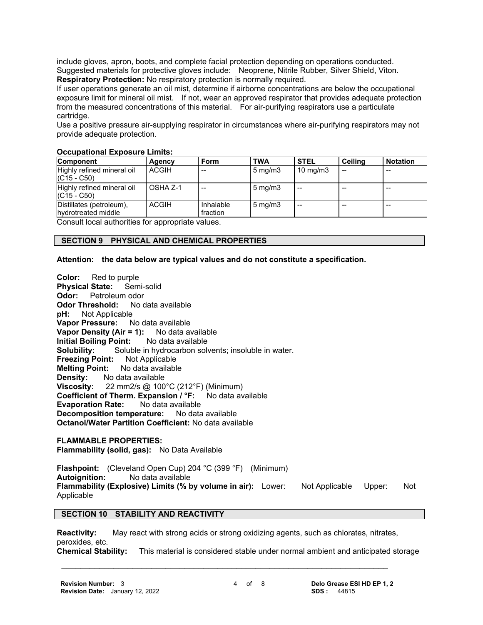include gloves, apron, boots, and complete facial protection depending on operations conducted. Suggested materials for protective gloves include: Neoprene, Nitrile Rubber, Silver Shield, Viton. **Respiratory Protection:** No respiratory protection is normally required.

If user operations generate an oil mist, determine if airborne concentrations are below the occupational exposure limit for mineral oil mist. If not, wear an approved respirator that provides adequate protection from the measured concentrations of this material. For air-purifying respirators use a particulate cartridge.

Use a positive pressure air-supplying respirator in circumstances where air-purifying respirators may not provide adequate protection.

#### **Component Agency Form TWA STEL Ceiling Notation** Highly refined mineral oil (C15 - C50)  $ACGIH$   $\left[-\right]$   $\left|5 \text{ mg/m3}\right|$   $\left|10 \text{ mg/m3}\right|$ Highly refined mineral oil (C15 - C50)  $\overline{OSHA Z-1}$  -  $\overline{5}$  mg/m3 - - -Distillates (petroleum), hydrotreated middle ACGIH Inhalable fraction  $5 \text{ mg/m3}$  --  $\vert -\vert -\vert -\vert -\vert -\vert -\vert$

#### **Occupational Exposure Limits:**

Consult local authorities for appropriate values.

#### **SECTION 9 PHYSICAL AND CHEMICAL PROPERTIES**

#### **Attention: the data below are typical values and do not constitute a specification.**

**Color:** Red to purple **Physical State:** Semi-solid **Odor:** Petroleum odor **Odor Threshold:** No data available<br>**pH:** Not Applicable **Not Applicable Vapor Pressure:** No data available **Vapor Density (Air = 1):** No data available **Initial Boiling Point:** No data available **Solubility:** Soluble in hydrocarbon solvents; insoluble in water. **Freezing Point:** Not Applicable **Melting Point:** No data available **Density:** No data available **Viscosity:** 22 mm2/s @ 100°C (212°F) (Minimum) **Coefficient of Therm. Expansion / °F:** No data available **Evaporation Rate:** No data available **Decomposition temperature:** No data available **Octanol/Water Partition Coefficient:** No data available

#### **FLAMMABLE PROPERTIES:**

**Flammability (solid, gas):** No Data Available

**Flashpoint:** (Cleveland Open Cup) 204 °C (399 °F) (Minimum) **Autoignition:** No data available **Flammability (Explosive) Limits (% by volume in air):** Lower: Not Applicable Upper: Not Applicable

#### **SECTION 10 STABILITY AND REACTIVITY**

**Reactivity:** May react with strong acids or strong oxidizing agents, such as chlorates, nitrates, peroxides, etc.

 **\_\_\_\_\_\_\_\_\_\_\_\_\_\_\_\_\_\_\_\_\_\_\_\_\_\_\_\_\_\_\_\_\_\_\_\_\_\_\_\_\_\_\_\_\_\_\_\_\_\_\_\_\_\_\_\_\_\_\_\_\_\_\_\_\_\_\_\_\_**

**Chemical Stability:** This material is considered stable under normal ambient and anticipated storage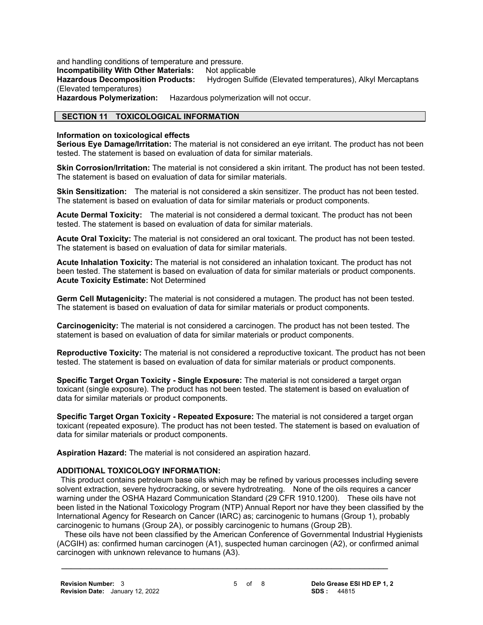and handling conditions of temperature and pressure.

**Incompatibility With Other Materials: Not applicable** 

**Hazardous Decomposition Products:** Hydrogen Sulfide (Elevated temperatures), Alkyl Mercaptans (Elevated temperatures)

**Hazardous Polymerization:** Hazardous polymerization will not occur.

### **SECTION 11 TOXICOLOGICAL INFORMATION**

#### **Information on toxicological effects**

**Serious Eye Damage/Irritation:** The material is not considered an eye irritant. The product has not been tested. The statement is based on evaluation of data for similar materials.

**Skin Corrosion/Irritation:** The material is not considered a skin irritant. The product has not been tested. The statement is based on evaluation of data for similar materials.

**Skin Sensitization:** The material is not considered a skin sensitizer. The product has not been tested. The statement is based on evaluation of data for similar materials or product components.

**Acute Dermal Toxicity:** The material is not considered a dermal toxicant. The product has not been tested. The statement is based on evaluation of data for similar materials.

**Acute Oral Toxicity:** The material is not considered an oral toxicant. The product has not been tested. The statement is based on evaluation of data for similar materials.

**Acute Inhalation Toxicity:** The material is not considered an inhalation toxicant. The product has not been tested. The statement is based on evaluation of data for similar materials or product components. **Acute Toxicity Estimate:** Not Determined

**Germ Cell Mutagenicity:** The material is not considered a mutagen. The product has not been tested. The statement is based on evaluation of data for similar materials or product components.

**Carcinogenicity:** The material is not considered a carcinogen. The product has not been tested. The statement is based on evaluation of data for similar materials or product components.

**Reproductive Toxicity:** The material is not considered a reproductive toxicant. The product has not been tested. The statement is based on evaluation of data for similar materials or product components.

**Specific Target Organ Toxicity - Single Exposure:** The material is not considered a target organ toxicant (single exposure). The product has not been tested. The statement is based on evaluation of data for similar materials or product components.

**Specific Target Organ Toxicity - Repeated Exposure:** The material is not considered a target organ toxicant (repeated exposure). The product has not been tested. The statement is based on evaluation of data for similar materials or product components.

**Aspiration Hazard:** The material is not considered an aspiration hazard.

#### **ADDITIONAL TOXICOLOGY INFORMATION:**

 This product contains petroleum base oils which may be refined by various processes including severe solvent extraction, severe hydrocracking, or severe hydrotreating. None of the oils requires a cancer warning under the OSHA Hazard Communication Standard (29 CFR 1910.1200). These oils have not been listed in the National Toxicology Program (NTP) Annual Report nor have they been classified by the International Agency for Research on Cancer (IARC) as; carcinogenic to humans (Group 1), probably carcinogenic to humans (Group 2A), or possibly carcinogenic to humans (Group 2B).

 These oils have not been classified by the American Conference of Governmental Industrial Hygienists (ACGIH) as: confirmed human carcinogen (A1), suspected human carcinogen (A2), or confirmed animal carcinogen with unknown relevance to humans (A3).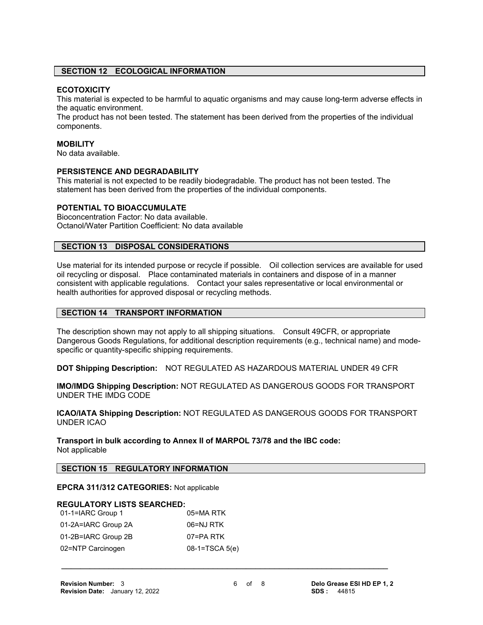#### **SECTION 12 ECOLOGICAL INFORMATION**

#### **ECOTOXICITY**

This material is expected to be harmful to aquatic organisms and may cause long-term adverse effects in the aquatic environment.

The product has not been tested. The statement has been derived from the properties of the individual components.

#### **MOBILITY**

No data available.

#### **PERSISTENCE AND DEGRADABILITY**

This material is not expected to be readily biodegradable. The product has not been tested. The statement has been derived from the properties of the individual components.

#### **POTENTIAL TO BIOACCUMULATE**

Bioconcentration Factor: No data available. Octanol/Water Partition Coefficient: No data available

#### **SECTION 13 DISPOSAL CONSIDERATIONS**

Use material for its intended purpose or recycle if possible. Oil collection services are available for used oil recycling or disposal. Place contaminated materials in containers and dispose of in a manner consistent with applicable regulations. Contact your sales representative or local environmental or health authorities for approved disposal or recycling methods.

#### **SECTION 14 TRANSPORT INFORMATION**

The description shown may not apply to all shipping situations. Consult 49CFR, or appropriate Dangerous Goods Regulations, for additional description requirements (e.g., technical name) and modespecific or quantity-specific shipping requirements.

**DOT Shipping Description:** NOT REGULATED AS HAZARDOUS MATERIAL UNDER 49 CFR

**IMO/IMDG Shipping Description:** NOT REGULATED AS DANGEROUS GOODS FOR TRANSPORT UNDER THE IMDG CODE

**ICAO/IATA Shipping Description:** NOT REGULATED AS DANGEROUS GOODS FOR TRANSPORT UNDER ICAO

**Transport in bulk according to Annex II of MARPOL 73/78 and the IBC code:** Not applicable

#### **SECTION 15 REGULATORY INFORMATION**

#### **EPCRA 311/312 CATEGORIES:** Not applicable

#### **REGULATORY LISTS SEARCHED:**

| 01-1=IARC Group 1   | 05=MA RTK       |
|---------------------|-----------------|
| 01-2A=IARC Group 2A | 06=NJ RTK       |
| 01-2B=IARC Group 2B | 07=PA RTK       |
| 02=NTP Carcinogen   | $08-1=TSCA5(e)$ |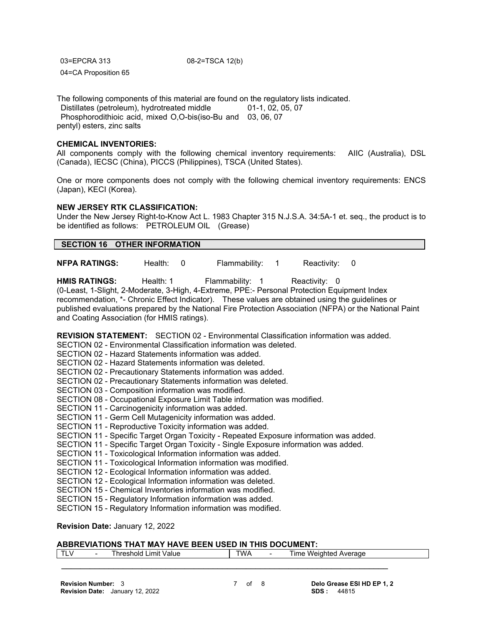| 03=EPCRA 313         |  |
|----------------------|--|
| 04=CA Proposition 65 |  |

08-2=TSCA 12(b)

The following components of this material are found on the regulatory lists indicated. Distillates (petroleum), hydrotreated middle 01-1, 02, 05, 07 Phosphorodithioic acid, mixed O,O-bis(iso-Bu and 03, 06, 07 pentyl) esters, zinc salts

#### **CHEMICAL INVENTORIES:**

All components comply with the following chemical inventory requirements: AIIC (Australia), DSL (Canada), IECSC (China), PICCS (Philippines), TSCA (United States).

One or more components does not comply with the following chemical inventory requirements: ENCS (Japan), KECI (Korea).

#### **NEW JERSEY RTK CLASSIFICATION:**

Under the New Jersey Right-to-Know Act L. 1983 Chapter 315 N.J.S.A. 34:5A-1 et. seq., the product is to be identified as follows: PETROLEUM OIL (Grease)

#### **SECTION 16 OTHER INFORMATION**

**NFPA RATINGS:** Health: 0 Flammability: 1 Reactivity: 0

**HMIS RATINGS:** Health: 1 Flammability: 1 Reactivity: 0 (0-Least, 1-Slight, 2-Moderate, 3-High, 4-Extreme, PPE:- Personal Protection Equipment Index recommendation, \*- Chronic Effect Indicator). These values are obtained using the guidelines or published evaluations prepared by the National Fire Protection Association (NFPA) or the National Paint and Coating Association (for HMIS ratings).

**REVISION STATEMENT:** SECTION 02 - Environmental Classification information was added.

SECTION 02 - Environmental Classification information was deleted.

- SECTION 02 Hazard Statements information was added.
- SECTION 02 Hazard Statements information was deleted.
- SECTION 02 Precautionary Statements information was added.
- SECTION 02 Precautionary Statements information was deleted.
- SECTION 03 Composition information was modified.
- SECTION 08 Occupational Exposure Limit Table information was modified.
- SECTION 11 Carcinogenicity information was added.
- SECTION 11 Germ Cell Mutagenicity information was added.
- SECTION 11 Reproductive Toxicity information was added.
- SECTION 11 Specific Target Organ Toxicity Repeated Exposure information was added.
- SECTION 11 Specific Target Organ Toxicity Single Exposure information was added.
- SECTION 11 Toxicological Information information was added.
- SECTION 11 Toxicological Information information was modified.
- SECTION 12 Ecological Information information was added.
- SECTION 12 Ecological Information information was deleted.
- SECTION 15 Chemical Inventories information was modified.
- SECTION 15 Regulatory Information information was added.
- SECTION 15 Regulatory Information information was modified.

### **Revision Date:** January 12, 2022

### **ABBREVIATIONS THAT MAY HAVE BEEN USED IN THIS DOCUMENT:**

| $\mathbf{r}$<br>-- | - | Limit<br>Value<br>shold | TWA | $\overline{\phantom{0}}$ | ıme<br>- Weinhter'<br>rage<br>$\sqrt{1 + \frac{1}{2}}$ |
|--------------------|---|-------------------------|-----|--------------------------|--------------------------------------------------------|
|                    |   |                         |     |                          |                                                        |